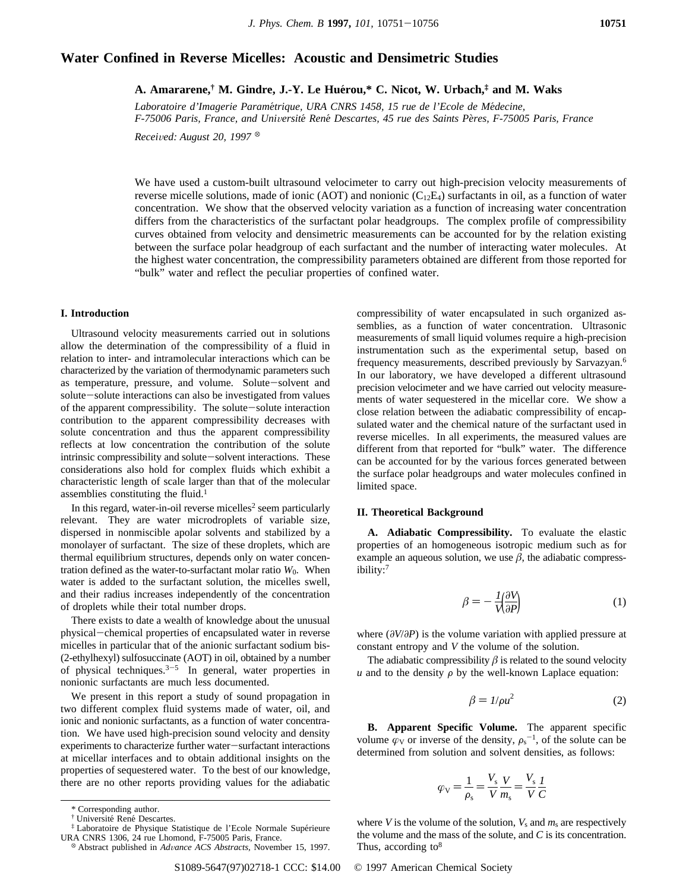# **Water Confined in Reverse Micelles: Acoustic and Densimetric Studies**

**A. Amararene,† M. Gindre, J.-Y. Le Hue**´**rou,\* C. Nicot, W. Urbach,‡ and M. Waks**

*Laboratoire d'Imagerie Parame*´*trique, URA CNRS 1458, 15 rue de l'Ecole de Me*´*decine, F-75006 Paris, France, and Uni*V*ersite*´ *Rene*´ *Descartes, 45 rue des Saints Pe*`*res, F-75005 Paris, France*

*Received: August 20, 1997* <sup> $\otimes$ </sup>

We have used a custom-built ultrasound velocimeter to carry out high-precision velocity measurements of reverse micelle solutions, made of ionic (AOT) and nonionic  $(C_{12}E_4)$  surfactants in oil, as a function of water concentration. We show that the observed velocity variation as a function of increasing water concentration differs from the characteristics of the surfactant polar headgroups. The complex profile of compressibility curves obtained from velocity and densimetric measurements can be accounted for by the relation existing between the surface polar headgroup of each surfactant and the number of interacting water molecules. At the highest water concentration, the compressibility parameters obtained are different from those reported for "bulk" water and reflect the peculiar properties of confined water.

## **I. Introduction**

Ultrasound velocity measurements carried out in solutions allow the determination of the compressibility of a fluid in relation to inter- and intramolecular interactions which can be characterized by the variation of thermodynamic parameters such as temperature, pressure, and volume. Solute-solvent and solute-solute interactions can also be investigated from values of the apparent compressibility. The solute-solute interaction contribution to the apparent compressibility decreases with solute concentration and thus the apparent compressibility reflects at low concentration the contribution of the solute intrinsic compressibility and solute-solvent interactions. These considerations also hold for complex fluids which exhibit a characteristic length of scale larger than that of the molecular assemblies constituting the fluid.1

In this regard, water-in-oil reverse micelles<sup>2</sup> seem particularly relevant. They are water microdroplets of variable size, dispersed in nonmiscible apolar solvents and stabilized by a monolayer of surfactant. The size of these droplets, which are thermal equilibrium structures, depends only on water concentration defined as the water-to-surfactant molar ratio  $W_0$ . When water is added to the surfactant solution, the micelles swell, and their radius increases independently of the concentration of droplets while their total number drops.

There exists to date a wealth of knowledge about the unusual physical-chemical properties of encapsulated water in reverse micelles in particular that of the anionic surfactant sodium bis- (2-ethylhexyl) sulfosuccinate (AOT) in oil, obtained by a number of physical techniques.<sup>3-5</sup> In general, water properties in nonionic surfactants are much less documented.

We present in this report a study of sound propagation in two different complex fluid systems made of water, oil, and ionic and nonionic surfactants, as a function of water concentration. We have used high-precision sound velocity and density experiments to characterize further water-surfactant interactions at micellar interfaces and to obtain additional insights on the properties of sequestered water. To the best of our knowledge, there are no other reports providing values for the adiabatic compressibility of water encapsulated in such organized assemblies, as a function of water concentration. Ultrasonic measurements of small liquid volumes require a high-precision instrumentation such as the experimental setup, based on frequency measurements, described previously by Sarvazyan.6 In our laboratory, we have developed a different ultrasound precision velocimeter and we have carried out velocity measurements of water sequestered in the micellar core. We show a close relation between the adiabatic compressibility of encapsulated water and the chemical nature of the surfactant used in reverse micelles. In all experiments, the measured values are different from that reported for "bulk" water. The difference can be accounted for by the various forces generated between the surface polar headgroups and water molecules confined in limited space.

# **II. Theoretical Background**

**A. Adiabatic Compressibility.** To evaluate the elastic properties of an homogeneous isotropic medium such as for example an aqueous solution, we use  $\beta$ , the adiabatic compressibility:7

$$
\beta = -\frac{1}{V} \left( \frac{\partial V}{\partial P} \right) \tag{1}
$$

where (*∂V*/*∂P*) is the volume variation with applied pressure at constant entropy and *V* the volume of the solution.

The adiabatic compressibility  $\beta$  is related to the sound velocity  *and to the density*  $\rho$  *by the well-known Laplace equation:* 

$$
\beta = 1/\rho u^2 \tag{2}
$$

**B. Apparent Specific Volume.** The apparent specific volume  $\varphi_V$  or inverse of the density,  $\rho_s^{-1}$ , of the solute can be determined from solution and solvent densities, as follows:

$$
\varphi_{\rm V} = \frac{1}{\rho_{\rm s}} = \frac{V_{\rm s}}{V} \frac{V}{m_{\rm s}} = \frac{V_{\rm s}}{V} \frac{I}{C}
$$

where *V* is the volume of the solution,  $V_s$  and  $m_s$  are respectively the volume and the mass of the solute, and *C* is its concentration. Thus, according to<sup>8</sup>

<sup>\*</sup> Corresponding author.

<sup>&</sup>lt;sup>†</sup> Université René Descartes.

<sup>&</sup>lt;sup>‡</sup> Laboratoire de Physique Statistique de l'Ecole Normale Supérieure URA CNRS 1306, 24 rue Lhomond, F-75005 Paris, France.

<sup>&</sup>lt;sup>8</sup> Abstract published in *Advance ACS Abstracts*, November 15, 1997.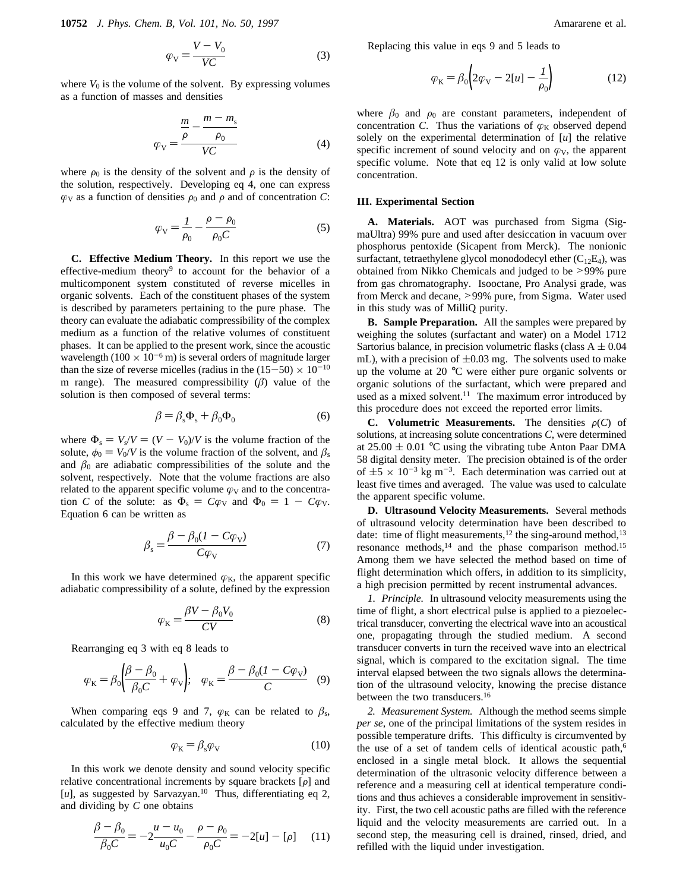**10752** *J. Phys. Chem. B, Vol. 101, No. 50, 1997* Amararene et al.

$$
\varphi_{\rm V} = \frac{V - V_0}{V C} \tag{3}
$$

where  $V_0$  is the volume of the solvent. By expressing volumes as a function of masses and densities

$$
\varphi_{\rm V} = \frac{\frac{m}{\rho} - \frac{m - m_{\rm s}}{\rho_0}}{VC} \tag{4}
$$

where  $\rho_0$  is the density of the solvent and  $\rho$  is the density of the solution, respectively. Developing eq 4, one can express  $\varphi$ <sub>V</sub> as a function of densities  $\rho_0$  and  $\rho$  and of concentration *C*:

$$
\varphi_{\rm V} = \frac{I}{\rho_0} - \frac{\rho - \rho_0}{\rho_0 C} \tag{5}
$$

**C. Effective Medium Theory.** In this report we use the effective-medium theory<sup>9</sup> to account for the behavior of a multicomponent system constituted of reverse micelles in organic solvents. Each of the constituent phases of the system is described by parameters pertaining to the pure phase. The theory can evaluate the adiabatic compressibility of the complex medium as a function of the relative volumes of constituent phases. It can be applied to the present work, since the acoustic wavelength (100  $\times$  10<sup>-6</sup> m) is several orders of magnitude larger than the size of reverse micelles (radius in the  $(15-50) \times 10^{-10}$ m range). The measured compressibility  $(\beta)$  value of the solution is then composed of several terms:

$$
\beta = \beta_{\rm s} \Phi_{\rm s} + \beta_0 \Phi_0 \tag{6}
$$

where  $\Phi_s = V_s/V = (V - V_0)/V$  is the volume fraction of the solute,  $\phi_0 = V_0/V$  is the volume fraction of the solvent, and  $\beta_s$ and  $\beta_0$  are adiabatic compressibilities of the solute and the solvent, respectively. Note that the volume fractions are also related to the apparent specific volume  $\varphi_V$  and to the concentration *C* of the solute: as  $\Phi_s = C\varphi_V$  and  $\Phi_0 = 1 - C\varphi_V$ . Equation 6 can be written as

$$
\beta_{\rm s} = \frac{\beta - \beta_0 (1 - C\varphi_{\rm V})}{C\varphi_{\rm V}}\tag{7}
$$

In this work we have determined  $\varphi_K$ , the apparent specific adiabatic compressibility of a solute, defined by the expression

$$
\varphi_{\rm K} = \frac{\beta V - \beta_0 V_0}{CV} \tag{8}
$$

Rearranging eq 3 with eq 8 leads to

$$
\varphi_{\rm K} = \beta_0 \left( \frac{\beta - \beta_0}{\beta_0 C} + \varphi_{\rm V} \right); \quad \varphi_{\rm K} = \frac{\beta - \beta_0 (1 - C \varphi_{\rm V})}{C} \quad (9)
$$

When comparing eqs 9 and 7,  $\varphi_K$  can be related to  $\beta_s$ , calculated by the effective medium theory

$$
\varphi_{\mathbf{K}} = \beta_{\mathbf{s}} \varphi_{\mathbf{V}} \tag{10}
$$

In this work we denote density and sound velocity specific relative concentrational increments by square brackets  $[\rho]$  and [u], as suggested by Sarvazyan.<sup>10</sup> Thus, differentiating eq 2, and dividing by *C* one obtains

$$
\frac{\beta - \beta_0}{\beta_0 C} = -2\frac{u - u_0}{u_0 C} - \frac{\rho - \rho_0}{\rho_0 C} = -2[u] - [\rho]
$$
 (11)

Replacing this value in eqs 9 and 5 leads to

$$
\varphi_{\mathbf{K}} = \beta_0 \left( 2\varphi_{\mathbf{V}} - 2[u] - \frac{1}{\rho_0} \right) \tag{12}
$$

where  $\beta_0$  and  $\rho_0$  are constant parameters, independent of concentration *C*. Thus the variations of  $\varphi_K$  observed depend solely on the experimental determination of [*u*] the relative specific increment of sound velocity and on  $\varphi_V$ , the apparent specific volume. Note that eq 12 is only valid at low solute concentration.

#### **III. Experimental Section**

**A. Materials.** AOT was purchased from Sigma (SigmaUltra) 99% pure and used after desiccation in vacuum over phosphorus pentoxide (Sicapent from Merck). The nonionic surfactant, tetraethylene glycol monododecyl ether  $(C_{12}E_4)$ , was obtained from Nikko Chemicals and judged to be >99% pure from gas chromatography. Isooctane, Pro Analysi grade, was from Merck and decane, >99% pure, from Sigma. Water used in this study was of MilliQ purity.

**B. Sample Preparation.** All the samples were prepared by weighing the solutes (surfactant and water) on a Model 1712 Sartorius balance, in precision volumetric flasks (class  $A \pm 0.04$ mL), with a precision of  $\pm 0.03$  mg. The solvents used to make up the volume at 20 °C were either pure organic solvents or organic solutions of the surfactant, which were prepared and used as a mixed solvent.<sup>11</sup> The maximum error introduced by this procedure does not exceed the reported error limits.

**C.** Volumetric Measurements. The densities  $\rho(C)$  of solutions, at increasing solute concentrations *C*, were determined at  $25.00 \pm 0.01$  °C using the vibrating tube Anton Paar DMA 58 digital density meter. The precision obtained is of the order of  $\pm 5 \times 10^{-3}$  kg m<sup>-3</sup>. Each determination was carried out at least five times and averaged. The value was used to calculate the apparent specific volume.

**D. Ultrasound Velocity Measurements.** Several methods of ultrasound velocity determination have been described to date: time of flight measurements,<sup>12</sup> the sing-around method,<sup>13</sup> resonance methods,<sup>14</sup> and the phase comparison method.<sup>15</sup> Among them we have selected the method based on time of flight determination which offers, in addition to its simplicity, a high precision permitted by recent instrumental advances.

*1. Principle.* In ultrasound velocity measurements using the time of flight, a short electrical pulse is applied to a piezoelectrical transducer, converting the electrical wave into an acoustical one, propagating through the studied medium. A second transducer converts in turn the received wave into an electrical signal, which is compared to the excitation signal. The time interval elapsed between the two signals allows the determination of the ultrasound velocity, knowing the precise distance between the two transducers.<sup>16</sup>

*2. Measurement System.* Although the method seems simple *per se*, one of the principal limitations of the system resides in possible temperature drifts. This difficulty is circumvented by the use of a set of tandem cells of identical acoustic path,<sup>6</sup> enclosed in a single metal block. It allows the sequential determination of the ultrasonic velocity difference between a reference and a measuring cell at identical temperature conditions and thus achieves a considerable improvement in sensitivity. First, the two cell acoustic paths are filled with the reference liquid and the velocity measurements are carried out. In a second step, the measuring cell is drained, rinsed, dried, and refilled with the liquid under investigation.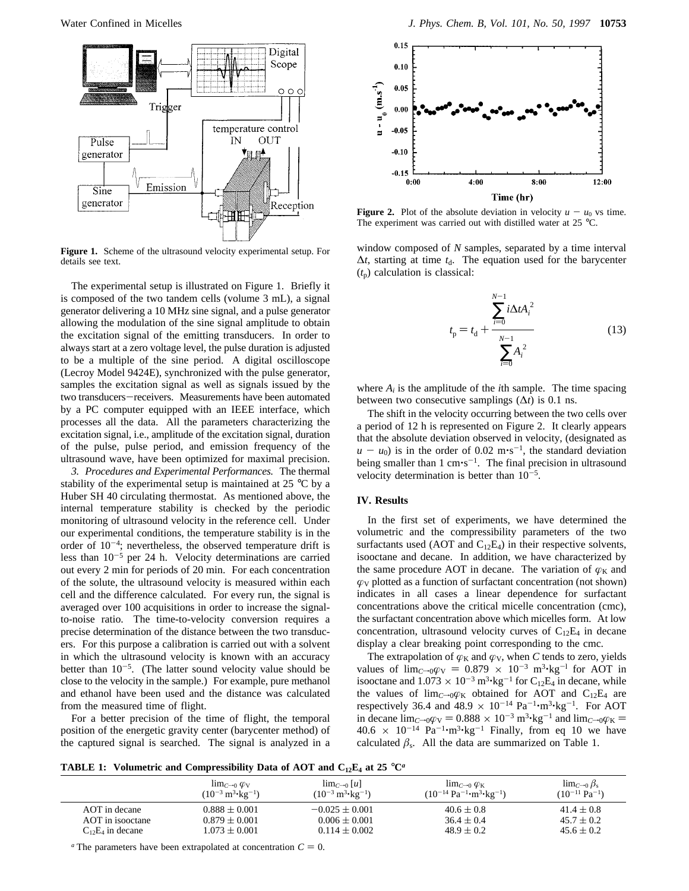

**Figure 1.** Scheme of the ultrasound velocity experimental setup. For details see text.

The experimental setup is illustrated on Figure 1. Briefly it is composed of the two tandem cells (volume 3 mL), a signal generator delivering a 10 MHz sine signal, and a pulse generator allowing the modulation of the sine signal amplitude to obtain the excitation signal of the emitting transducers. In order to always start at a zero voltage level, the pulse duration is adjusted to be a multiple of the sine period. A digital oscilloscope (Lecroy Model 9424E), synchronized with the pulse generator, samples the excitation signal as well as signals issued by the two transducers-receivers. Measurements have been automated by a PC computer equipped with an IEEE interface, which processes all the data. All the parameters characterizing the excitation signal, i.e., amplitude of the excitation signal, duration of the pulse, pulse period, and emission frequency of the ultrasound wave, have been optimized for maximal precision.

*3. Procedures and Experimental Performances.* The thermal stability of the experimental setup is maintained at 25 °C by a Huber SH 40 circulating thermostat. As mentioned above, the internal temperature stability is checked by the periodic monitoring of ultrasound velocity in the reference cell. Under our experimental conditions, the temperature stability is in the order of  $10^{-4}$ ; nevertheless, the observed temperature drift is less than  $10^{-5}$  per 24 h. Velocity determinations are carried out every 2 min for periods of 20 min. For each concentration of the solute, the ultrasound velocity is measured within each cell and the difference calculated. For every run, the signal is averaged over 100 acquisitions in order to increase the signalto-noise ratio. The time-to-velocity conversion requires a precise determination of the distance between the two transducers. For this purpose a calibration is carried out with a solvent in which the ultrasound velocity is known with an accuracy better than  $10^{-5}$ . (The latter sound velocity value should be close to the velocity in the sample.) For example, pure methanol and ethanol have been used and the distance was calculated from the measured time of flight.

For a better precision of the time of flight, the temporal position of the energetic gravity center (barycenter method) of the captured signal is searched. The signal is analyzed in a



**Figure 2.** Plot of the absolute deviation in velocity  $u - u_0$  vs time. The experiment was carried out with distilled water at 25 °C.

window composed of *N* samples, separated by a time interval  $\Delta t$ , starting at time  $t_d$ . The equation used for the barycenter  $(t_p)$  calculation is classical:

$$
t_{\rm p} = t_{\rm d} + \frac{\sum_{i=0}^{N-1} i \Delta t A_i^2}{\sum_{i=0}^{N-1} A_i^2}
$$
 (13)

where  $A_i$  is the amplitude of the *i*th sample. The time spacing between two consecutive samplings  $(\Delta t)$  is 0.1 ns.

The shift in the velocity occurring between the two cells over a period of 12 h is represented on Figure 2. It clearly appears that the absolute deviation observed in velocity, (designated as  $u - u_0$ ) is in the order of 0.02 m·s<sup>-1</sup>, the standard deviation being smaller than  $1 \text{ cm} \cdot \text{s}^{-1}$ . The final precision in ultrasound velocity determination is better than  $10^{-5}$ .

### **IV. Results**

In the first set of experiments, we have determined the volumetric and the compressibility parameters of the two surfactants used (AOT and  $C_{12}E_4$ ) in their respective solvents, isooctane and decane. In addition, we have characterized by the same procedure AOT in decane. The variation of  $\varphi_K$  and  $\varphi$ <sub>V</sub> plotted as a function of surfactant concentration (not shown) indicates in all cases a linear dependence for surfactant concentrations above the critical micelle concentration (cmc), the surfactant concentration above which micelles form. At low concentration, ultrasound velocity curves of  $C_{12}E_4$  in decane display a clear breaking point corresponding to the cmc.

The extrapolation of  $\varphi_K$  and  $\varphi_V$ , when *C* tends to zero, yields values of  $\lim_{C\to 0}\varphi_V = 0.879 \times 10^{-3} \text{ m}^3 \cdot \text{kg}^{-1}$  for AOT in isooctane and  $1.073 \times 10^{-3}$  m<sup>3</sup>·kg<sup>-1</sup> for C<sub>12</sub>E<sub>4</sub> in decane, while the values of  $\lim_{C\to 0}\varphi_K$  obtained for AOT and C<sub>12</sub>E<sub>4</sub> are respectively 36.4 and 48.9  $\times$  10<sup>-14</sup> Pa<sup>-1</sup>·m<sup>3</sup>·kg<sup>-1</sup>. For AOT in decane  $\lim_{C\to 0}\varphi_V = 0.888 \times 10^{-3} \text{ m}^3 \cdot \text{kg}^{-1}$  and  $\lim_{C\to 0}\varphi_K =$  $40.6 \times 10^{-14} \text{ Pa}^{-1} \cdot \text{m}^3 \cdot \text{kg}^{-1}$  Finally, from eq 10 we have calculated  $\beta_s$ . All the data are summarized on Table 1.

**TABLE 1:** Volumetric and Compressibility Data of AOT and  $C_{12}E_4$  at 25 °C<sup>*a*</sup>

|                       | $\lim_{C\to 0} \varphi_V$<br>$(10^{-3} \text{ m}^3 \cdot \text{kg}^{-1})$ | $\lim_{C\to 0}  u $<br>$(10^{-3} \text{ m}^3 \cdot \text{kg}^{-1})$ | $\lim_{C\to 0} \varphi_K$<br>$(10^{-14} \text{ Pa}^{-1} \cdot \text{m}^3 \cdot \text{kg}^{-1})$ | $\lim_{C\to 0}\beta_s$<br>$(10^{-11} \text{ Pa}^{-1})$ |
|-----------------------|---------------------------------------------------------------------------|---------------------------------------------------------------------|-------------------------------------------------------------------------------------------------|--------------------------------------------------------|
| AOT in decane         | $0.888 \pm 0.001$                                                         | $-0.025 \pm 0.001$                                                  | $40.6 \pm 0.8$                                                                                  | $41.4 \pm 0.8$                                         |
| AOT in isonctane      | $0.879 \pm 0.001$                                                         | $0.006 \pm 0.001$                                                   | $36.4 \pm 0.4$                                                                                  | $45.7 \pm 0.2$                                         |
| $C_{12}E_4$ in decane | $1.073 \pm 0.001$                                                         | $0.114 \pm 0.002$                                                   | $48.9 \pm 0.2$                                                                                  | $45.6 \pm 0.2$                                         |

 $a$  The parameters have been extrapolated at concentration  $C = 0$ .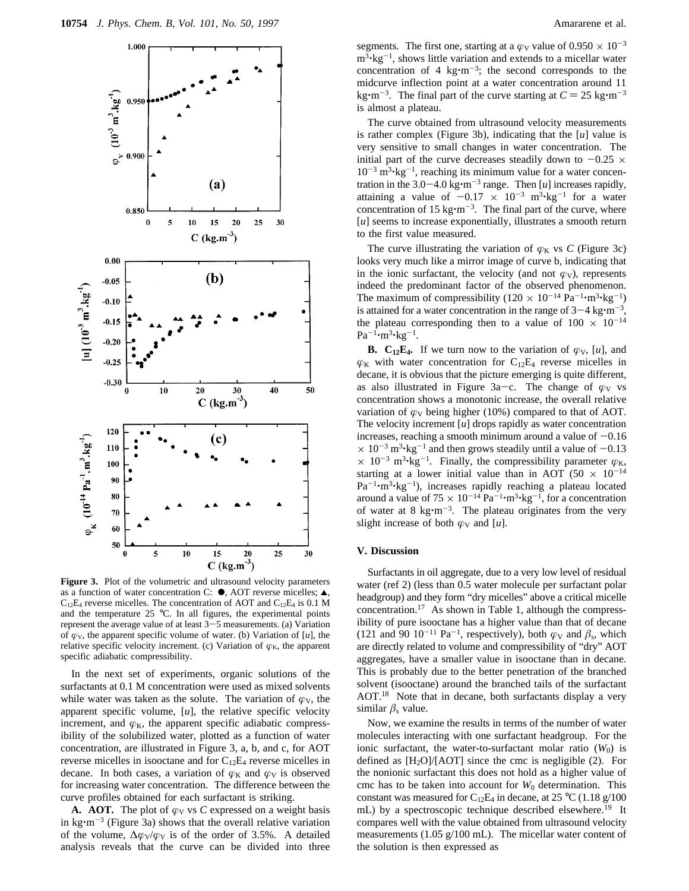

Figure 3. Plot of the volumetric and ultrasound velocity parameters as a function of water concentration C:  $\bullet$ , AOT reverse micelles;  $\blacktriangle$ ,  $C_{12}E_4$  reverse micelles. The concentration of AOT and  $C_{12}E_4$  is 0.1 M and the temperature 25 °C. In all figures, the experimental points represent the average value of at least 3-5 measurements. (a) Variation of  $\varphi_V$ , the apparent specific volume of water. (b) Variation of [*u*], the relative specific velocity increment. (c) Variation of  $\varphi_K$ , the apparent specific adiabatic compressibility.

In the next set of experiments, organic solutions of the surfactants at 0.1 M concentration were used as mixed solvents while water was taken as the solute. The variation of  $\varphi_V$ , the apparent specific volume, [*u*], the relative specific velocity increment, and  $\varphi_K$ , the apparent specific adiabatic compressibility of the solubilized water, plotted as a function of water concentration, are illustrated in Figure 3, a, b, and c, for AOT reverse micelles in isooctane and for  $C_{12}E_4$  reverse micelles in decane. In both cases, a variation of  $\varphi_K$  and  $\varphi_V$  is observed for increasing water concentration. The difference between the curve profiles obtained for each surfactant is striking.

**A. AOT.** The plot of  $\varphi_V$  vs *C* expressed on a weight basis in kg $\cdot$ m<sup>-3</sup> (Figure 3a) shows that the overall relative variation of the volume,  $\Delta \varphi_V / \varphi_V$  is of the order of 3.5%. A detailed analysis reveals that the curve can be divided into three

segments. The first one, starting at a  $\varphi$ <sub>V</sub> value of 0.950  $\times$  10<sup>-3</sup>  $m<sup>3</sup>$ **kg**<sup>-1</sup>, shows little variation and extends to a micellar water concentration of 4 kg $\cdot$ m<sup>-3</sup>; the second corresponds to the midcurve inflection point at a water concentration around 11 kg $\cdot$ m<sup>-3</sup>. The final part of the curve starting at  $C = 25 \text{ kg} \cdot \text{m}^{-3}$ is almost a plateau.

The curve obtained from ultrasound velocity measurements is rather complex (Figure 3b), indicating that the [*u*] value is very sensitive to small changes in water concentration. The initial part of the curve decreases steadily down to  $-0.25 \times$  $10^{-3}$  m<sup>3</sup> $\cdot$ kg<sup>-1</sup>, reaching its minimum value for a water concentration in the  $3.0-4.0 \text{ kg} \cdot \text{m}^{-3}$  range. Then [*u*] increases rapidly, attaining a value of  $-0.17 \times 10^{-3}$  m<sup>3</sup>·kg<sup>-1</sup> for a water concentration of 15 kg $\cdot$ m<sup>-3</sup>. The final part of the curve, where [*u*] seems to increase exponentially, illustrates a smooth return to the first value measured.

The curve illustrating the variation of  $\varphi_K$  vs *C* (Figure 3c) looks very much like a mirror image of curve b, indicating that in the ionic surfactant, the velocity (and not  $\varphi_V$ ), represents indeed the predominant factor of the observed phenomenon. The maximum of compressibility  $(120 \times 10^{-14} \text{ Pa}^{-1} \cdot \text{m}^3 \cdot \text{kg}^{-1})$ is attained for a water concentration in the range of  $3-4 \text{ kg} \cdot \text{m}^{-3}$ , the plateau corresponding then to a value of  $100 \times 10^{-14}$  $Pa^{-1} \cdot m^3 \cdot kg^{-1}$ .

**B.** C<sub>12</sub>E<sub>4</sub>. If we turn now to the variation of  $\varphi_V$ , [*u*], and  $\varphi_K$  with water concentration for C<sub>12</sub>E<sub>4</sub> reverse micelles in decane, it is obvious that the picture emerging is quite different, as also illustrated in Figure 3a–c. The change of  $\varphi$ <sub>V</sub> vs concentration shows a monotonic increase, the overall relative variation of  $\varphi_V$  being higher (10%) compared to that of AOT. The velocity increment [*u*] drops rapidly as water concentration increases, reaching a smooth minimum around a value of  $-0.16$  $\times$  10<sup>-3</sup> m<sup>3</sup>·kg<sup>-1</sup> and then grows steadily until a value of -0.13  $\times$  10<sup>-3</sup> m<sup>3</sup>·kg<sup>-1</sup>. Finally, the compressibility parameter  $\varphi_K$ , starting at a lower initial value than in AOT (50  $\times$  10<sup>-14</sup>  $Pa^{-1} \cdot m^3 \cdot kg^{-1}$ ), increases rapidly reaching a plateau located around a value of  $75 \times 10^{-14}$  Pa<sup>-1</sup> $\cdot$ m<sup>3</sup> $\cdot$ kg<sup>-1</sup>, for a concentration of water at 8 kg $\cdot$ m<sup>-3</sup>. The plateau originates from the very slight increase of both  $\varphi_V$  and [*u*].

#### **V. Discussion**

Surfactants in oil aggregate, due to a very low level of residual water (ref 2) (less than 0.5 water molecule per surfactant polar headgroup) and they form "dry micelles" above a critical micelle concentration.17 As shown in Table 1, although the compressibility of pure isooctane has a higher value than that of decane (121 and 90 10<sup>-11</sup> Pa<sup>-1</sup>, respectively), both  $\varphi_V$  and  $\beta_s$ , which are directly related to volume and compressibility of "dry" AOT aggregates, have a smaller value in isooctane than in decane. This is probably due to the better penetration of the branched solvent (isooctane) around the branched tails of the surfactant AOT.18 Note that in decane, both surfactants display a very similar  $\beta_s$  value.

Now, we examine the results in terms of the number of water molecules interacting with one surfactant headgroup. For the ionic surfactant, the water-to-surfactant molar ratio  $(W_0)$  is defined as  $[H_2O]/[AOT]$  since the cmc is negligible (2). For the nonionic surfactant this does not hold as a higher value of cmc has to be taken into account for *W*<sup>0</sup> determination. This constant was measured for  $C_{12}E_4$  in decane, at 25 °C (1.18 g/100) mL) by a spectroscopic technique described elsewhere.<sup>19</sup> It compares well with the value obtained from ultrasound velocity measurements (1.05 g/100 mL). The micellar water content of the solution is then expressed as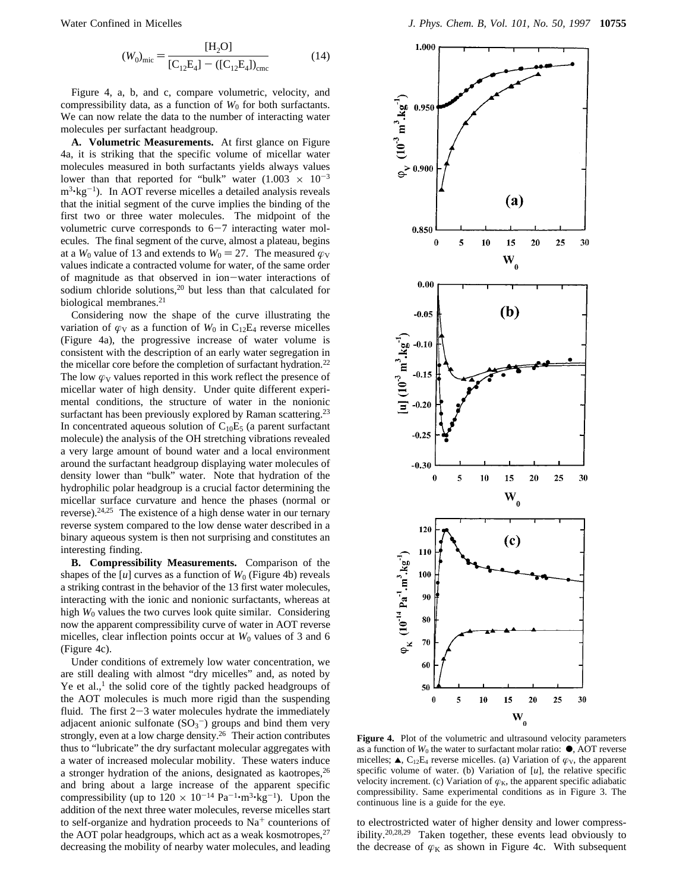$$
(W_0)_{\text{mic}} = \frac{[H_2O]}{[C_{12}E_4] - ([C_{12}E_4])_{\text{cme}}}
$$
(14)

Figure 4, a, b, and c, compare volumetric, velocity, and compressibility data, as a function of  $W_0$  for both surfactants. We can now relate the data to the number of interacting water molecules per surfactant headgroup.

**A. Volumetric Measurements.** At first glance on Figure 4a, it is striking that the specific volume of micellar water molecules measured in both surfactants yields always values lower than that reported for "bulk" water  $(1.003 \times 10^{-3}$  $m<sup>3</sup>$ ·kg<sup>-1</sup>). In AOT reverse micelles a detailed analysis reveals that the initial segment of the curve implies the binding of the first two or three water molecules. The midpoint of the volumetric curve corresponds to  $6-7$  interacting water molecules. The final segment of the curve, almost a plateau, begins at a *W*<sub>0</sub> value of 13 and extends to  $W_0 = 27$ . The measured  $\varphi_V$ values indicate a contracted volume for water, of the same order of magnitude as that observed in ion-water interactions of sodium chloride solutions,<sup>20</sup> but less than that calculated for biological membranes.<sup>21</sup>

Considering now the shape of the curve illustrating the variation of  $\varphi$ <sub>V</sub> as a function of  $W_0$  in C<sub>12</sub>E<sub>4</sub> reverse micelles (Figure 4a), the progressive increase of water volume is consistent with the description of an early water segregation in the micellar core before the completion of surfactant hydration.22 The low  $\varphi_V$  values reported in this work reflect the presence of micellar water of high density. Under quite different experimental conditions, the structure of water in the nonionic surfactant has been previously explored by Raman scattering.<sup>23</sup> In concentrated aqueous solution of  $C_{10}E_5$  (a parent surfactant molecule) the analysis of the OH stretching vibrations revealed a very large amount of bound water and a local environment around the surfactant headgroup displaying water molecules of density lower than "bulk" water. Note that hydration of the hydrophilic polar headgroup is a crucial factor determining the micellar surface curvature and hence the phases (normal or reverse).24,25 The existence of a high dense water in our ternary reverse system compared to the low dense water described in a binary aqueous system is then not surprising and constitutes an interesting finding.

**B. Compressibility Measurements.** Comparison of the shapes of the  $[u]$  curves as a function of  $W_0$  (Figure 4b) reveals a striking contrast in the behavior of the 13 first water molecules, interacting with the ionic and nonionic surfactants, whereas at high *W*<sup>0</sup> values the two curves look quite similar. Considering now the apparent compressibility curve of water in AOT reverse micelles, clear inflection points occur at  $W_0$  values of 3 and 6 (Figure 4c).

Under conditions of extremely low water concentration, we are still dealing with almost "dry micelles" and, as noted by Ye et al., $<sup>1</sup>$  the solid core of the tightly packed headgroups of</sup> the AOT molecules is much more rigid than the suspending fluid. The first  $2-3$  water molecules hydrate the immediately adjacent anionic sulfonate  $(SO_3^-)$  groups and bind them very strongly, even at a low charge density.26 Their action contributes thus to "lubricate" the dry surfactant molecular aggregates with a water of increased molecular mobility. These waters induce a stronger hydration of the anions, designated as kaotropes,<sup>26</sup> and bring about a large increase of the apparent specific compressibility (up to  $120 \times 10^{-14}$  Pa<sup>-1</sup>·m<sup>3</sup>·kg<sup>-1</sup>). Upon the addition of the next three water molecules, reverse micelles start to self-organize and hydration proceeds to  $Na<sup>+</sup>$  counterions of the AOT polar headgroups, which act as a weak kosmotropes, $27$ decreasing the mobility of nearby water molecules, and leading



**Figure 4.** Plot of the volumetric and ultrasound velocity parameters as a function of  $W_0$  the water to surfactant molar ratio:  $\bullet$ , AOT reverse micelles;  $\triangle$ , C<sub>12</sub>E<sub>4</sub> reverse micelles. (a) Variation of  $\varphi$ <sub>V</sub>, the apparent specific volume of water. (b) Variation of [*u*], the relative specific velocity increment. (c) Variation of  $\varphi_K$ , the apparent specific adiabatic compressibility. Same experimental conditions as in Figure 3. The continuous line is a guide for the eye.

to electrostricted water of higher density and lower compressibility.20,28,29 Taken together, these events lead obviously to the decrease of  $\varphi_K$  as shown in Figure 4c. With subsequent